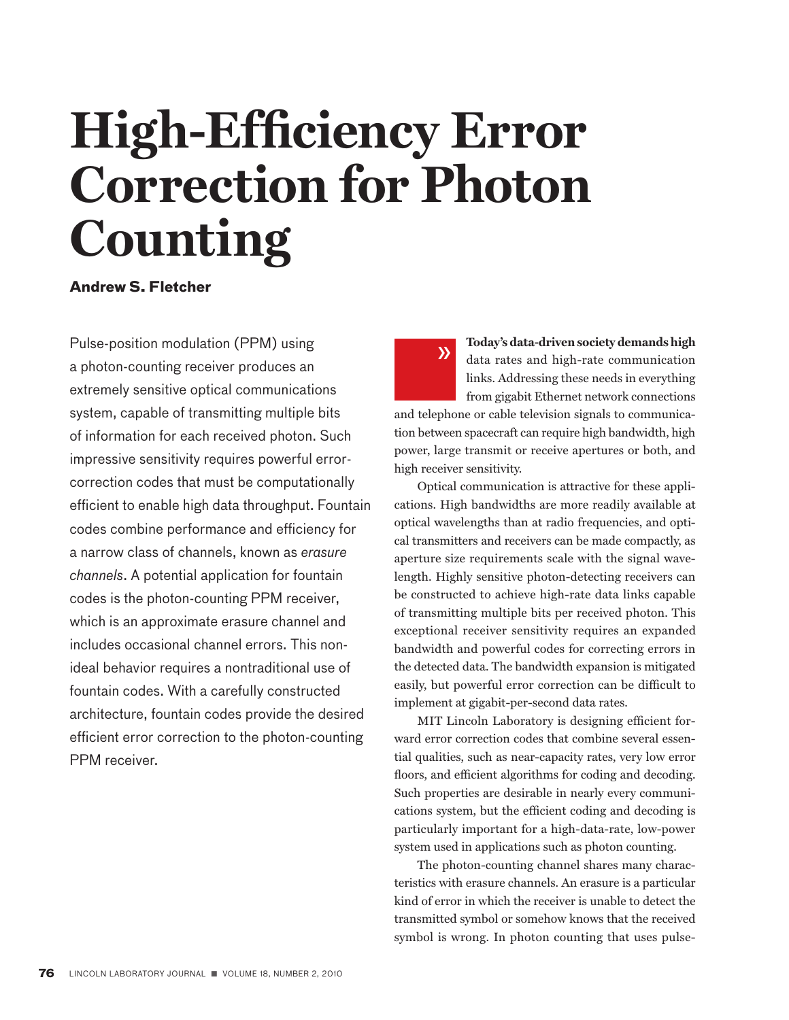# **High-Efficiency Error Correction for Photon Counting**

**Andrew S. Fletcher**

Pulse-position modulation (PPM) using a photon-counting receiver produces an extremely sensitive optical communications system, capable of transmitting multiple bits of information for each received photon. Such impressive sensitivity requires powerful errorcorrection codes that must be computationally efficient to enable high data throughput. Fountain codes combine performance and efficiency for a narrow class of channels, known as *erasure channels*. A potential application for fountain codes is the photon-counting PPM receiver, which is an approximate erasure channel and includes occasional channel errors. This nonideal behavior requires a nontraditional use of fountain codes. With a carefully constructed architecture, fountain codes provide the desired efficient error correction to the photon-counting PPM receiver.

**Today's data-driven society demands high**  data rates and high-rate communication links. Addressing these needs in everything from gigabit Ethernet network connections and telephone or cable television signals to communication between spacecraft can require high bandwidth, high power, large transmit or receive apertures or both, and high receiver sensitivity.  $\lambda$ 

Optical communication is attractive for these applications. High bandwidths are more readily available at optical wavelengths than at radio frequencies, and optical transmitters and receivers can be made compactly, as aperture size requirements scale with the signal wavelength. Highly sensitive photon-detecting receivers can be constructed to achieve high-rate data links capable of transmitting multiple bits per received photon. This exceptional receiver sensitivity requires an expanded bandwidth and powerful codes for correcting errors in the detected data. The bandwidth expansion is mitigated easily, but powerful error correction can be difficult to implement at gigabit-per-second data rates.

MIT Lincoln Laboratory is designing efficient forward error correction codes that combine several essential qualities, such as near-capacity rates, very low error floors, and efficient algorithms for coding and decoding. Such properties are desirable in nearly every communications system, but the efficient coding and decoding is particularly important for a high-data-rate, low-power system used in applications such as photon counting.

The photon-counting channel shares many characteristics with erasure channels. An erasure is a particular kind of error in which the receiver is unable to detect the transmitted symbol or somehow knows that the received symbol is wrong. In photon counting that uses pulse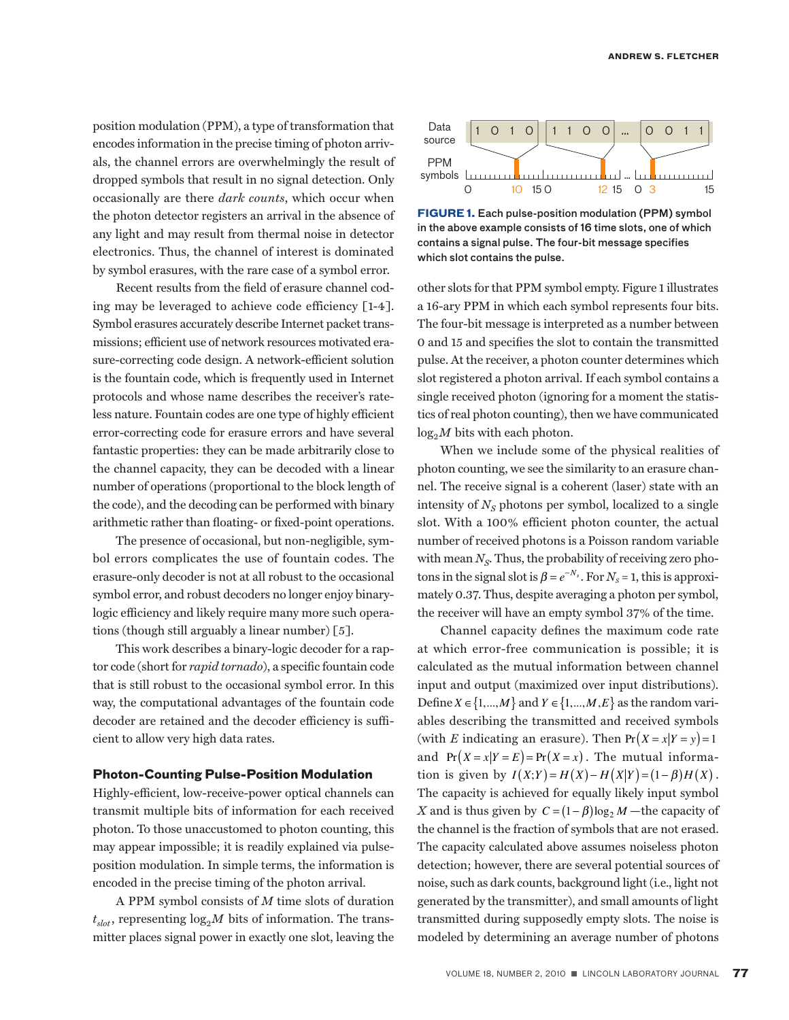position modulation (PPM), a type of transformation that encodes information in the precise timing of photon arrivals, the channel errors are overwhelmingly the result of dropped symbols that result in no signal detection. Only occasionally are there *dark counts*, which occur when the photon detector registers an arrival in the absence of any light and may result from thermal noise in detector electronics. Thus, the channel of interest is dominated by symbol erasures, with the rare case of a symbol error.

Recent results from the field of erasure channel coding may be leveraged to achieve code efficiency [1-4]. Symbol erasures accurately describe Internet packet transmissions; efficient use of network resources motivated erasure-correcting code design. A network-efficient solution is the fountain code, which is frequently used in Internet protocols and whose name describes the receiver's rateless nature. Fountain codes are one type of highly efficient error-correcting code for erasure errors and have several fantastic properties: they can be made arbitrarily close to the channel capacity, they can be decoded with a linear number of operations (proportional to the block length of the code), and the decoding can be performed with binary arithmetic rather than floating- or fixed-point operations.

The presence of occasional, but non-negligible, symbol errors complicates the use of fountain codes. The erasure-only decoder is not at all robust to the occasional symbol error, and robust decoders no longer enjoy binarylogic efficiency and likely require many more such operations (though still arguably a linear number) [5].

This work describes a binary-logic decoder for a raptor code (short for *rapid tornado*), a specific fountain code that is still robust to the occasional symbol error. In this way, the computational advantages of the fountain code decoder are retained and the decoder efficiency is sufficient to allow very high data rates.

#### **Photon-Counting Pulse-Position Modulation**

Highly-efficient, low-receive-power optical channels can transmit multiple bits of information for each received photon. To those unaccustomed to photon counting, this may appear impossible; it is readily explained via pulseposition modulation. In simple terms, the information is encoded in the precise timing of the photon arrival.

A PPM symbol consists of *M* time slots of duration  $t_{slot}$ , representing  $log_2 M$  bits of information. The transmitter places signal power in exactly one slot, leaving the



**FIGURE 1.** Each pulse-position modulation (PPM) symbol in the above example consists of 16 time slots, one of which contains a signal pulse. The four-bit message specifies which slot contains the pulse.

other slots for that PPM symbol empty. Figure 1 illustrates a 16-ary PPM in which each symbol represents four bits. The four-bit message is interpreted as a number between 0 and 15 and specifies the slot to contain the transmitted pulse. At the receiver, a photon counter determines which slot registered a photon arrival. If each symbol contains a single received photon (ignoring for a moment the statistics of real photon counting), then we have communicated  $log<sub>2</sub>M$  bits with each photon.

When we include some of the physical realities of photon counting, we see the similarity to an erasure channel. The receive signal is a coherent (laser) state with an intensity of  $N<sub>s</sub>$  photons per symbol, localized to a single slot. With a 100% efficient photon counter, the actual number of received photons is a Poisson random variable with mean  $N<sub>S</sub>$ . Thus, the probability of receiving zero photons in the signal slot is  $\beta = e^{-N_s}$ . For  $N_s = 1$ , this is approximately 0.37. Thus, despite averaging a photon per symbol, the receiver will have an empty symbol 37% of the time.

Channel capacity defines the maximum code rate at which error-free communication is possible; it is calculated as the mutual information between channel input and output (maximized over input distributions). Define  $X \in \{1,...,M\}$  and  $Y \in \{1,...,M,E\}$  as the random variables describing the transmitted and received symbols (with *E* indicating an erasure). Then  $Pr(X = x | Y = y) = 1$ and  $Pr(X = x | Y = E) = Pr(X = x)$ . The mutual information is given by  $I(X;Y) = H(X) - H(X|Y) = (1 - \beta)H(X)$ . The capacity is achieved for equally likely input symbol *X* and is thus given by  $C = (1 - \beta) \log_2 M$  —the capacity of the channel is the fraction of symbols that are not erased. The capacity calculated above assumes noiseless photon detection; however, there are several potential sources of noise, such as dark counts, background light (i.e., light not generated by the transmitter), and small amounts of light transmitted during supposedly empty slots. The noise is modeled by determining an average number of photons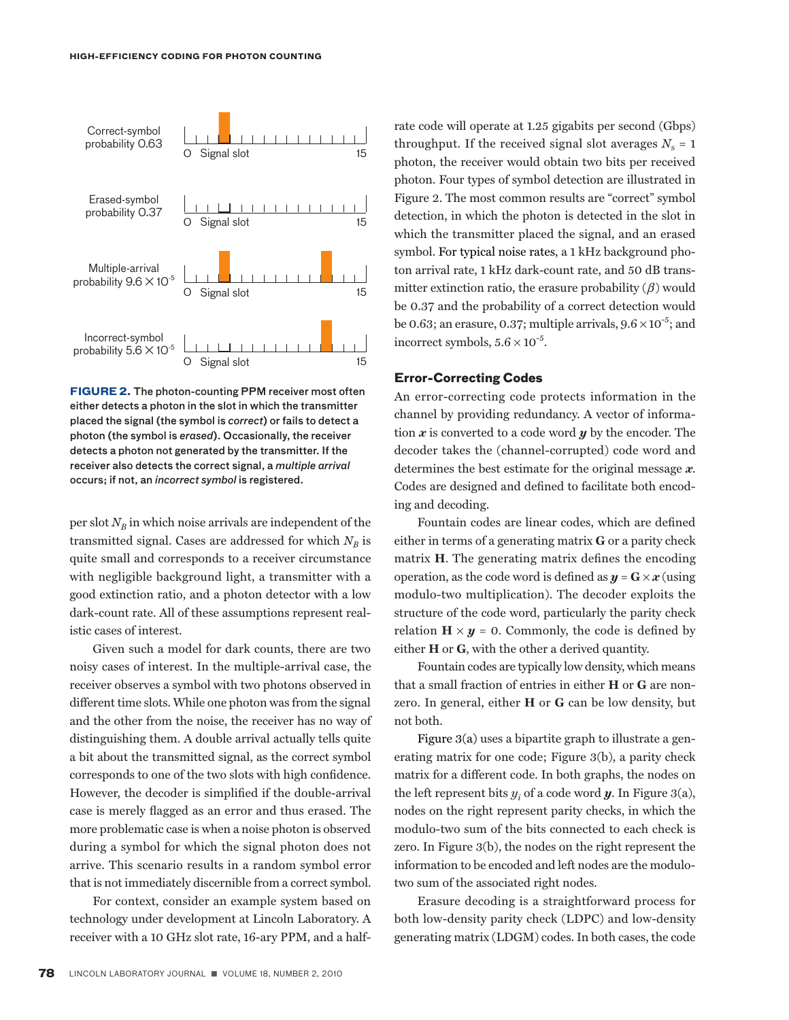

**FIGURE 2.** The photon-counting PPM receiver most often either detects a photon in the slot in which the transmitter placed the signal (the symbol is *correct*) or fails to detect a photon (the symbol is *erased*). Occasionally, the receiver detects a photon not generated by the transmitter. If the receiver also detects the correct signal, a *multiple arrival* occurs; if not, an *incorrect symbol* is registered.

per slot  $N_B$  in which noise arrivals are independent of the transmitted signal. Cases are addressed for which  $N_B$  is quite small and corresponds to a receiver circumstance with negligible background light, a transmitter with a good extinction ratio, and a photon detector with a low dark-count rate. All of these assumptions represent realistic cases of interest.

Given such a model for dark counts, there are two noisy cases of interest. In the multiple-arrival case, the receiver observes a symbol with two photons observed in different time slots. While one photon was from the signal and the other from the noise, the receiver has no way of distinguishing them. A double arrival actually tells quite a bit about the transmitted signal, as the correct symbol corresponds to one of the two slots with high confidence. However, the decoder is simplified if the double-arrival case is merely flagged as an error and thus erased. The more problematic case is when a noise photon is observed during a symbol for which the signal photon does not arrive. This scenario results in a random symbol error that is not immediately discernible from a correct symbol.

For context, consider an example system based on technology under development at Lincoln Laboratory. A receiver with a 10 GHz slot rate, 16-ary PPM, and a half-

rate code will operate at 1.25 gigabits per second (Gbps) throughput. If the received signal slot averages  $N_s = 1$ photon, the receiver would obtain two bits per received photon. Four types of symbol detection are illustrated in Figure 2. The most common results are "correct" symbol detection, in which the photon is detected in the slot in which the transmitter placed the signal, and an erased symbol. For typical noise rates, a 1 kHz background photon arrival rate, 1 kHz dark-count rate, and 50 dB transmitter extinction ratio, the erasure probability  $(\beta)$  would be 0.37 and the probability of a correct detection would be 0.63; an erasure, 0.37; multiple arrivals,  $9.6 \times 10^{-5}$ ; and incorrect symbols,  $5.6 \times 10^{-5}$ .

# **Error-Correcting Codes**

An error-correcting code protects information in the channel by providing redundancy. A vector of information *x* is converted to a code word *y* by the encoder. The decoder takes the (channel-corrupted) code word and determines the best estimate for the original message *x*. Codes are designed and defined to facilitate both encoding and decoding.

Fountain codes are linear codes, which are defined either in terms of a generating matrix **G** or a parity check matrix **H**. The generating matrix defines the encoding operation, as the code word is defined as  $y = G \times x$  (using modulo-two multiplication). The decoder exploits the structure of the code word, particularly the parity check relation  $\mathbf{H} \times \mathbf{y} = 0$ . Commonly, the code is defined by either **H** or **G**, with the other a derived quantity.

Fountain codes are typically low density, which means that a small fraction of entries in either **H** or **G** are nonzero. In general, either **H** or **G** can be low density, but not both.

Figure 3(a) uses a bipartite graph to illustrate a generating matrix for one code; Figure 3(b), a parity check matrix for a different code. In both graphs, the nodes on the left represent bits  $y_i$  of a code word  $y$ . In Figure 3(a), nodes on the right represent parity checks, in which the modulo-two sum of the bits connected to each check is zero. In Figure 3(b), the nodes on the right represent the information to be encoded and left nodes are the modulotwo sum of the associated right nodes.

Erasure decoding is a straightforward process for both low-density parity check (LDPC) and low-density generating matrix (LDGM) codes. In both cases, the code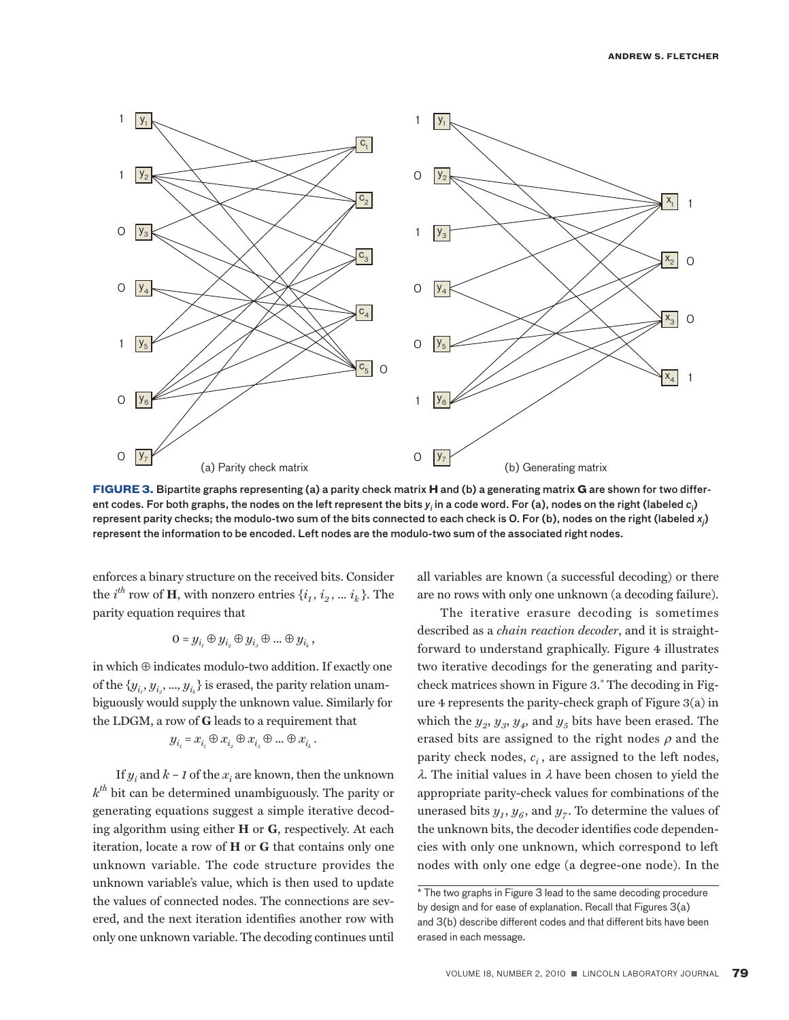

**FIGURE 3.** Bipartite graphs representing (a) a parity check matrix **H** and (b) a generating matrix **G** are shown for two different codes. For both graphs, the nodes on the left represent the bits *yi* in a code word. For (a), nodes on the right (labeled *c*<sup>j</sup> ) represent parity checks; the modulo-two sum of the bits connected to each check is 0. For (b), nodes on the right (labeled *xj* ) represent the information to be encoded. Left nodes are the modulo-two sum of the associated right nodes.

enforces a binary structure on the received bits. Consider the  $i^{th}$  row of **H**, with nonzero entries  $\{i_1, i_2, \dots i_k\}$ . The parity equation requires that

$$
\mathbf{0}=y_{i_{\scriptscriptstyle 1}}\oplus y_{i_{\scriptscriptstyle 2}}\oplus y_{i_{\scriptscriptstyle 3}}\oplus\ldots\oplus y_{i_{\scriptscriptstyle k}}\,,
$$

in which  $\oplus$  indicates modulo-two addition. If exactly one of the  $\{y_{i_{l}}, y_{i_{2}}, ..., y_{i_{k}}\}$  is erased, the parity relation unambiguously would supply the unknown value. Similarly for the LDGM, a row of **G** leads to a requirement that

$$
y_{i_{\boldsymbol l}}=x_{i_{\boldsymbol l}}\oplus x_{i_{\boldsymbol 2}}\oplus x_{i_{\boldsymbol 3}}\oplus\ldots\oplus x_{i_{\boldsymbol k}}\,.
$$

If  $y_i$  and  $k - 1$  of the  $x_i$  are known, then the unknown *kth* bit can be determined unambiguously. The parity or generating equations suggest a simple iterative decoding algorithm using either **H** or **G**, respectively. At each iteration, locate a row of **H** or **G** that contains only one unknown variable. The code structure provides the unknown variable's value, which is then used to update the values of connected nodes. The connections are severed, and the next iteration identifies another row with only one unknown variable. The decoding continues until

all variables are known (a successful decoding) or there are no rows with only one unknown (a decoding failure).

The iterative erasure decoding is sometimes described as a *chain reaction decoder*, and it is straightforward to understand graphically. Figure 4 illustrates two iterative decodings for the generating and paritycheck matrices shown in Figure 3.\* The decoding in Figure 4 represents the parity-check graph of Figure 3(a) in which the  $y_2$ ,  $y_3$ ,  $y_4$ , and  $y_5$  bits have been erased. The erased bits are assigned to the right nodes  $\rho$  and the parity check nodes,  $c_i$ , are assigned to the left nodes,  $\lambda$ . The initial values in  $\lambda$  have been chosen to yield the appropriate parity-check values for combinations of the unerased bits  $y_1, y_6$ , and  $y_7$ . To determine the values of the unknown bits, the decoder identifies code dependencies with only one unknown, which correspond to left nodes with only one edge (a degree-one node). In the

<sup>\*</sup> The two graphs in Figure 3 lead to the same decoding procedure by design and for ease of explanation. Recall that Figures 3(a) and 3(b) describe different codes and that different bits have been erased in each message.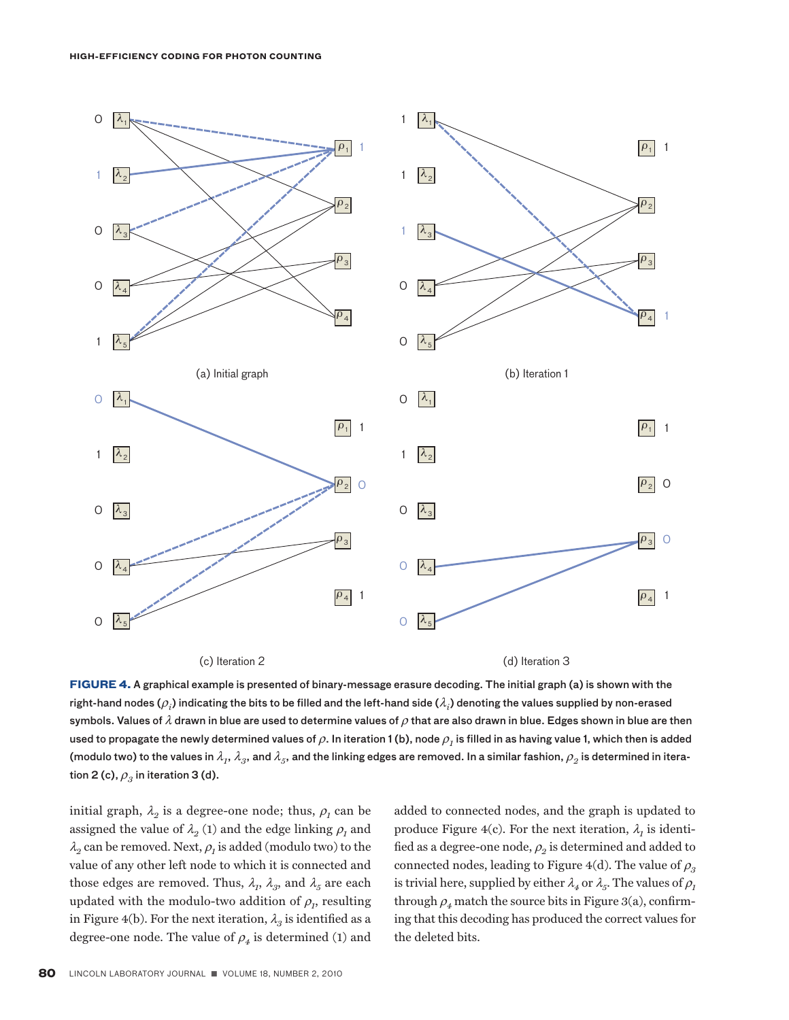

**FIGURE 4.** A graphical example is presented of binary-message erasure decoding. The initial graph (a) is shown with the right-hand nodes ( $\rho_i$ ) indicating the bits to be filled and the left-hand side ( $\lambda_i$ ) denoting the values supplied by non-erased symbols. Values of  $\lambda$  drawn in blue are used to determine values of  $\rho$  that are also drawn in blue. Edges shown in blue are then used to propagate the newly determined values of  $\rho$ . In iteration 1 (b), node  $\rho_1$  is filled in as having value 1, which then is added (modulo two) to the values in  $\lambda_1$ ,  $\lambda_3$ , and  $\lambda_5$ , and the linking edges are removed. In a similar fashion,  $\rho_2$  is determined in iteration 2 (c),  $\rho_3$  in iteration 3 (d).

initial graph,  $\lambda_2$  is a degree-one node; thus,  $\rho_1$  can be assigned the value of  $\lambda_2$  (1) and the edge linking  $\rho_1$  and  $\lambda_2$  can be removed. Next,  $\rho_1$  is added (modulo two) to the value of any other left node to which it is connected and those edges are removed. Thus,  $\lambda_1$ ,  $\lambda_3$ , and  $\lambda_5$  are each updated with the modulo-two addition of  $\rho_1$ , resulting in Figure 4(b). For the next iteration,  $\lambda_3$  is identified as a degree-one node. The value of  $\rho<sub>4</sub>$  is determined (1) and

added to connected nodes, and the graph is updated to produce Figure 4(c). For the next iteration,  $\lambda_i$  is identified as a degree-one node,  $\rho_2$  is determined and added to connected nodes, leading to Figure 4(d). The value of  $\rho_3$ is trivial here, supplied by either  $\lambda_4$  or  $\lambda_5$ . The values of  $\rho_1$ through  $\rho_4$  match the source bits in Figure 3(a), confirming that this decoding has produced the correct values for the deleted bits.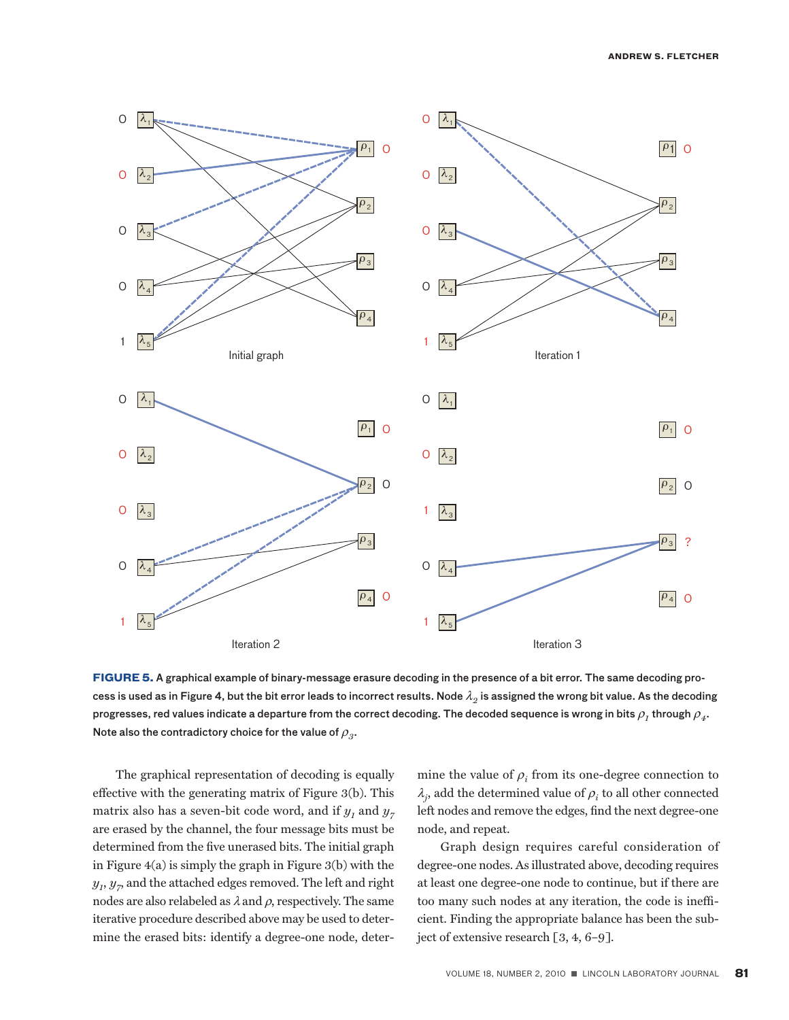

**FIGURE 5.** A graphical example of binary-message erasure decoding in the presence of a bit error. The same decoding process is used as in Figure 4, but the bit error leads to incorrect results. Node  $\lambda_2$  is assigned the wrong bit value. As the decoding progresses, red values indicate a departure from the correct decoding. The decoded sequence is wrong in bits  $\rho_1$  through  $\rho_4$ . Note also the contradictory choice for the value of  $\rho_3$ .

The graphical representation of decoding is equally effective with the generating matrix of Figure 3(b). This matrix also has a seven-bit code word, and if  $y_1$  and  $y_7$ are erased by the channel, the four message bits must be determined from the five unerased bits. The initial graph in Figure  $4(a)$  is simply the graph in Figure  $3(b)$  with the  $y_1, y_2$  and the attached edges removed. The left and right nodes are also relabeled as  $\lambda$  and  $\rho$ , respectively. The same iterative procedure described above may be used to determine the erased bits: identify a degree-one node, determine the value of  $\rho_i$  from its one-degree connection to  $\lambda_j$ , add the determined value of  $\rho_i$  to all other connected left nodes and remove the edges, find the next degree-one node, and repeat.

Graph design requires careful consideration of degree-one nodes. As illustrated above, decoding requires at least one degree-one node to continue, but if there are too many such nodes at any iteration, the code is inefficient. Finding the appropriate balance has been the subject of extensive research [3, 4, 6–9].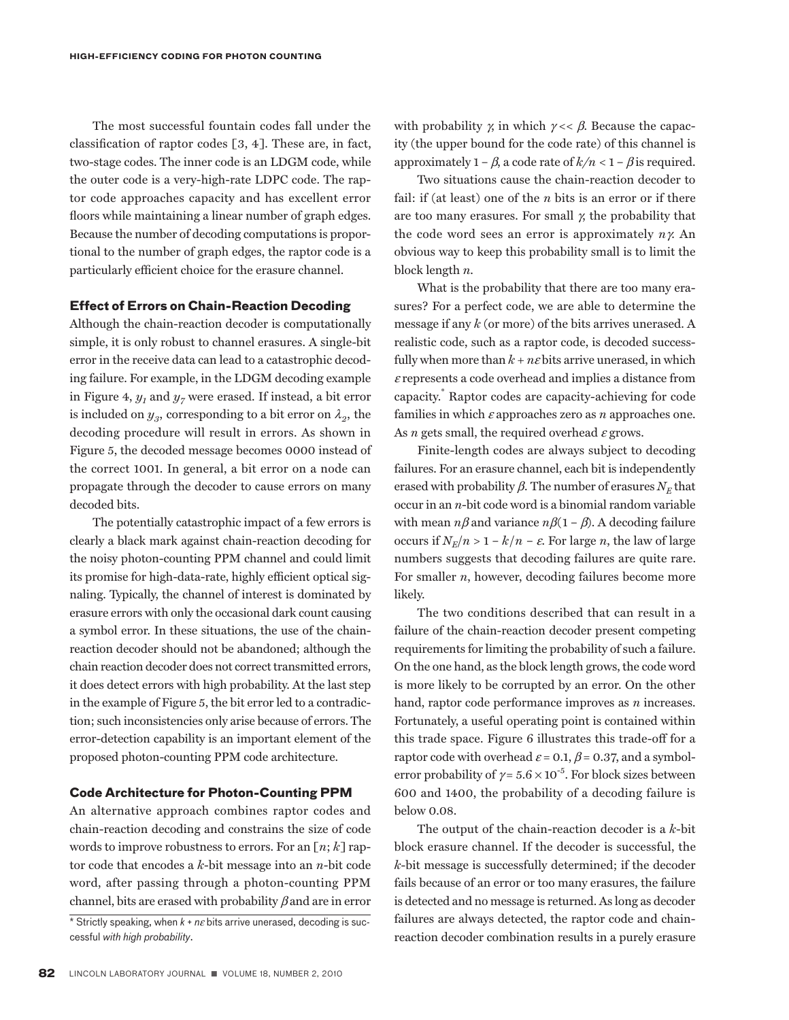The most successful fountain codes fall under the classification of raptor codes [3, 4]. These are, in fact, two-stage codes. The inner code is an LDGM code, while the outer code is a very-high-rate LDPC code. The raptor code approaches capacity and has excellent error floors while maintaining a linear number of graph edges. Because the number of decoding computations is proportional to the number of graph edges, the raptor code is a particularly efficient choice for the erasure channel.

### **Effect of Errors on Chain-Reaction Decoding**

Although the chain-reaction decoder is computationally simple, it is only robust to channel erasures. A single-bit error in the receive data can lead to a catastrophic decoding failure. For example, in the LDGM decoding example in Figure 4,  $y_1$  and  $y_7$  were erased. If instead, a bit error is included on  $y_3$ , corresponding to a bit error on  $\lambda_2$ , the decoding procedure will result in errors. As shown in Figure 5, the decoded message becomes 0000 instead of the correct 1001. In general, a bit error on a node can propagate through the decoder to cause errors on many decoded bits.

The potentially catastrophic impact of a few errors is clearly a black mark against chain-reaction decoding for the noisy photon-counting PPM channel and could limit its promise for high-data-rate, highly efficient optical signaling. Typically, the channel of interest is dominated by erasure errors with only the occasional dark count causing a symbol error. In these situations, the use of the chainreaction decoder should not be abandoned; although the chain reaction decoder does not correct transmitted errors, it does detect errors with high probability. At the last step in the example of Figure 5, the bit error led to a contradiction; such inconsistencies only arise because of errors. The error-detection capability is an important element of the proposed photon-counting PPM code architecture.

# **Code Architecture for Photon-Counting PPM**

An alternative approach combines raptor codes and chain-reaction decoding and constrains the size of code words to improve robustness to errors. For an [*n*; *k*] raptor code that encodes a *k*-bit message into an *n*-bit code word, after passing through a photon-counting PPM channel, bits are erased with probability  $\beta$  and are in error

with probability  $\chi$  in which  $\gamma \ll \beta$ . Because the capacity (the upper bound for the code rate) of this channel is approximately  $1 - \beta$ , a code rate of  $k/n < 1 - \beta$  is required.

Two situations cause the chain-reaction decoder to fail: if (at least) one of the *n* bits is an error or if there are too many erasures. For small  $\chi$  the probability that the code word sees an error is approximately  $n\chi$ . An obvious way to keep this probability small is to limit the block length *n*.

What is the probability that there are too many erasures? For a perfect code, we are able to determine the message if any *k* (or more) of the bits arrives unerased. A realistic code, such as a raptor code, is decoded successfully when more than  $k + n\varepsilon$  bits arrive unerased, in which  $\varepsilon$  represents a code overhead and implies a distance from capacity.\* Raptor codes are capacity-achieving for code families in which  $\varepsilon$  approaches zero as  $n$  approaches one. As  $n$  gets small, the required overhead  $\varepsilon$  grows.

Finite-length codes are always subject to decoding failures. For an erasure channel, each bit is independently erased with probability  $\beta$ . The number of erasures  $N_F$  that occur in an *n*-bit code word is a binomial random variable with mean  $n\beta$  and variance  $n\beta(1 - \beta)$ . A decoding failure occurs if  $N_F/n > 1 - k/n - \varepsilon$ . For large *n*, the law of large numbers suggests that decoding failures are quite rare. For smaller *n*, however, decoding failures become more likely.

The two conditions described that can result in a failure of the chain-reaction decoder present competing requirements for limiting the probability of such a failure. On the one hand, as the block length grows, the code word is more likely to be corrupted by an error. On the other hand, raptor code performance improves as *n* increases. Fortunately, a useful operating point is contained within this trade space. Figure 6 illustrates this trade-off for a raptor code with overhead  $\varepsilon = 0.1$ ,  $\beta = 0.37$ , and a symbolerror probability of  $\gamma = 5.6 \times 10^{-5}$ . For block sizes between 600 and 1400, the probability of a decoding failure is below 0.08.

The output of the chain-reaction decoder is a *k*-bit block erasure channel. If the decoder is successful, the *k*-bit message is successfully determined; if the decoder fails because of an error or too many erasures, the failure is detected and no message is returned. As long as decoder failures are always detected, the raptor code and chainreaction decoder combination results in a purely erasure

<sup>\*</sup> Strictly speaking, when *k* + *n*e bits arrive unerased, decoding is successful *with high probability*.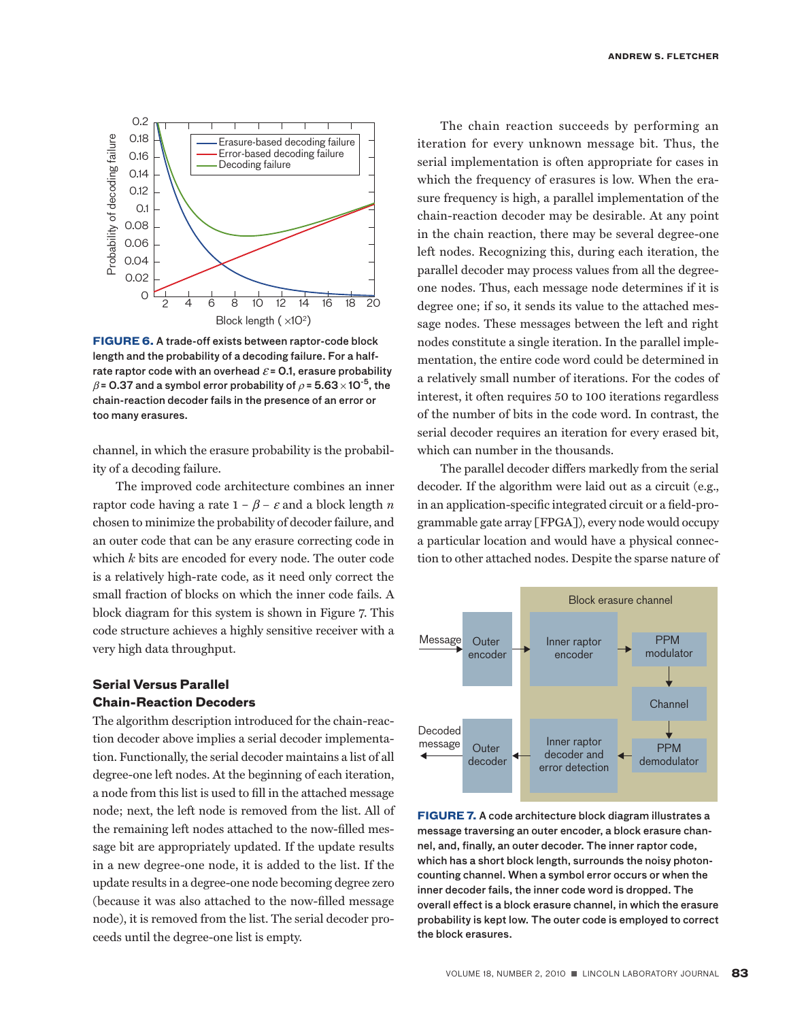

**FIGURE 6.** A trade-off exists between raptor-code block length and the probability of a decoding failure. For a halfrate raptor code with an overhead  $\varepsilon$  = 0.1, erasure probability  $\beta$  = 0.37 and a symbol error probability of  $\rho$  = 5.63  $\times$  10<sup>-5</sup>, the chain-reaction decoder fails in the presence of an error or too many erasures.

channel, in which the erasure probability is the probability of a decoding failure.

The improved code architecture combines an inner raptor code having a rate 1 –  $β$  –  $ε$  and a block length *n* chosen to minimize the probability of decoder failure, and an outer code that can be any erasure correcting code in which *k* bits are encoded for every node. The outer code is a relatively high-rate code, as it need only correct the small fraction of blocks on which the inner code fails. A block diagram for this system is shown in Figure 7. This code structure achieves a highly sensitive receiver with a very high data throughput.

# **Serial Versus Parallel Chain-Reaction Decoders**

The algorithm description introduced for the chain-reaction decoder above implies a serial decoder implementation. Functionally, the serial decoder maintains a list of all degree-one left nodes. At the beginning of each iteration, a node from this list is used to fill in the attached message node; next, the left node is removed from the list. All of the remaining left nodes attached to the now-filled message bit are appropriately updated. If the update results in a new degree-one node, it is added to the list. If the update results in a degree-one node becoming degree zero (because it was also attached to the now-filled message node), it is removed from the list. The serial decoder proceeds until the degree-one list is empty.

The chain reaction succeeds by performing an iteration for every unknown message bit. Thus, the serial implementation is often appropriate for cases in which the frequency of erasures is low. When the erasure frequency is high, a parallel implementation of the chain-reaction decoder may be desirable. At any point in the chain reaction, there may be several degree-one left nodes. Recognizing this, during each iteration, the parallel decoder may process values from all the degreeone nodes. Thus, each message node determines if it is degree one; if so, it sends its value to the attached message nodes. These messages between the left and right nodes constitute a single iteration. In the parallel implementation, the entire code word could be determined in a relatively small number of iterations. For the codes of interest, it often requires 50 to 100 iterations regardless of the number of bits in the code word. In contrast, the serial decoder requires an iteration for every erased bit, which can number in the thousands.

The parallel decoder differs markedly from the serial decoder. If the algorithm were laid out as a circuit (e.g., in an application-specific integrated circuit or a field-programmable gate array [FPGA]), every node would occupy a particular location and would have a physical connection to other attached nodes. Despite the sparse nature of



**FIGURE 7.** A code architecture block diagram illustrates a message traversing an outer encoder, a block erasure channel, and, finally, an outer decoder. The inner raptor code, which has a short block length, surrounds the noisy photoncounting channel. When a symbol error occurs or when the inner decoder fails, the inner code word is dropped. The overall effect is a block erasure channel, in which the erasure probability is kept low. The outer code is employed to correct the block erasures.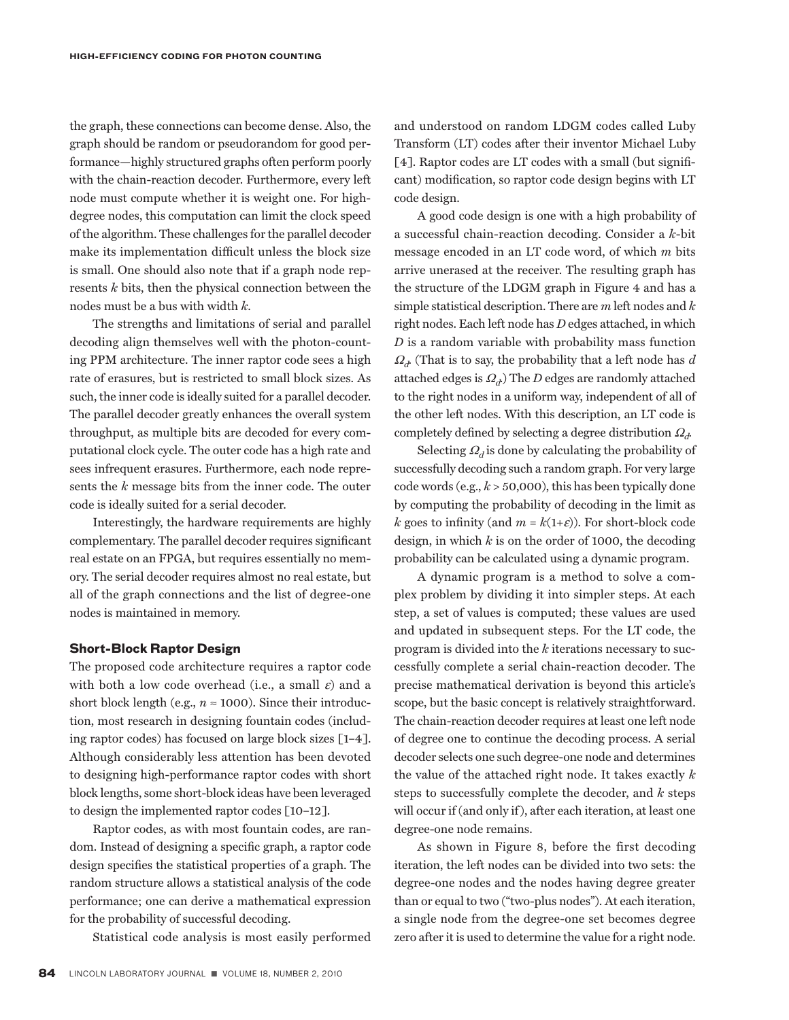the graph, these connections can become dense. Also, the graph should be random or pseudorandom for good performance—highly structured graphs often perform poorly with the chain-reaction decoder. Furthermore, every left node must compute whether it is weight one. For highdegree nodes, this computation can limit the clock speed of the algorithm. These challenges for the parallel decoder make its implementation difficult unless the block size is small. One should also note that if a graph node represents *k* bits, then the physical connection between the nodes must be a bus with width *k*.

The strengths and limitations of serial and parallel decoding align themselves well with the photon-counting PPM architecture. The inner raptor code sees a high rate of erasures, but is restricted to small block sizes. As such, the inner code is ideally suited for a parallel decoder. The parallel decoder greatly enhances the overall system throughput, as multiple bits are decoded for every computational clock cycle. The outer code has a high rate and sees infrequent erasures. Furthermore, each node represents the *k* message bits from the inner code. The outer code is ideally suited for a serial decoder.

Interestingly, the hardware requirements are highly complementary. The parallel decoder requires significant real estate on an FPGA, but requires essentially no memory. The serial decoder requires almost no real estate, but all of the graph connections and the list of degree-one nodes is maintained in memory.

#### **Short-Block Raptor Design**

The proposed code architecture requires a raptor code with both a low code overhead (i.e., a small  $\varepsilon$ ) and a short block length (e.g.,  $n \approx 1000$ ). Since their introduction, most research in designing fountain codes (including raptor codes) has focused on large block sizes [1–4]. Although considerably less attention has been devoted to designing high-performance raptor codes with short block lengths, some short-block ideas have been leveraged to design the implemented raptor codes [10–12].

Raptor codes, as with most fountain codes, are random. Instead of designing a specific graph, a raptor code design specifies the statistical properties of a graph. The random structure allows a statistical analysis of the code performance; one can derive a mathematical expression for the probability of successful decoding.

Statistical code analysis is most easily performed

and understood on random LDGM codes called Luby Transform (LT) codes after their inventor Michael Luby [4]. Raptor codes are LT codes with a small (but significant) modification, so raptor code design begins with LT code design.

A good code design is one with a high probability of a successful chain-reaction decoding. Consider a *k*-bit message encoded in an LT code word, of which *m* bits arrive unerased at the receiver. The resulting graph has the structure of the LDGM graph in Figure 4 and has a simple statistical description. There are *m* left nodes and *k* right nodes. Each left node has *D* edges attached, in which *D* is a random variable with probability mass function  $\Omega_d$ . (That is to say, the probability that a left node has  $d$ attached edges is  $\Omega_d$ ) The *D* edges are randomly attached to the right nodes in a uniform way, independent of all of the other left nodes. With this description, an LT code is completely defined by selecting a degree distribution  $\Omega_d$ .

Selecting  $\Omega_d$  is done by calculating the probability of successfully decoding such a random graph. For very large code words (e.g., *k* > 50,000), this has been typically done by computing the probability of decoding in the limit as *k* goes to infinity (and  $m = k(1+\varepsilon)$ ). For short-block code design, in which *k* is on the order of 1000, the decoding probability can be calculated using a dynamic program.

A dynamic program is a method to solve a complex problem by dividing it into simpler steps. At each step, a set of values is computed; these values are used and updated in subsequent steps. For the LT code, the program is divided into the *k* iterations necessary to successfully complete a serial chain-reaction decoder. The precise mathematical derivation is beyond this article's scope, but the basic concept is relatively straightforward. The chain-reaction decoder requires at least one left node of degree one to continue the decoding process. A serial decoder selects one such degree-one node and determines the value of the attached right node. It takes exactly *k* steps to successfully complete the decoder, and *k* steps will occur if (and only if), after each iteration, at least one degree-one node remains.

As shown in Figure 8, before the first decoding iteration, the left nodes can be divided into two sets: the degree-one nodes and the nodes having degree greater than or equal to two ("two-plus nodes"). At each iteration, a single node from the degree-one set becomes degree zero after it is used to determine the value for a right node.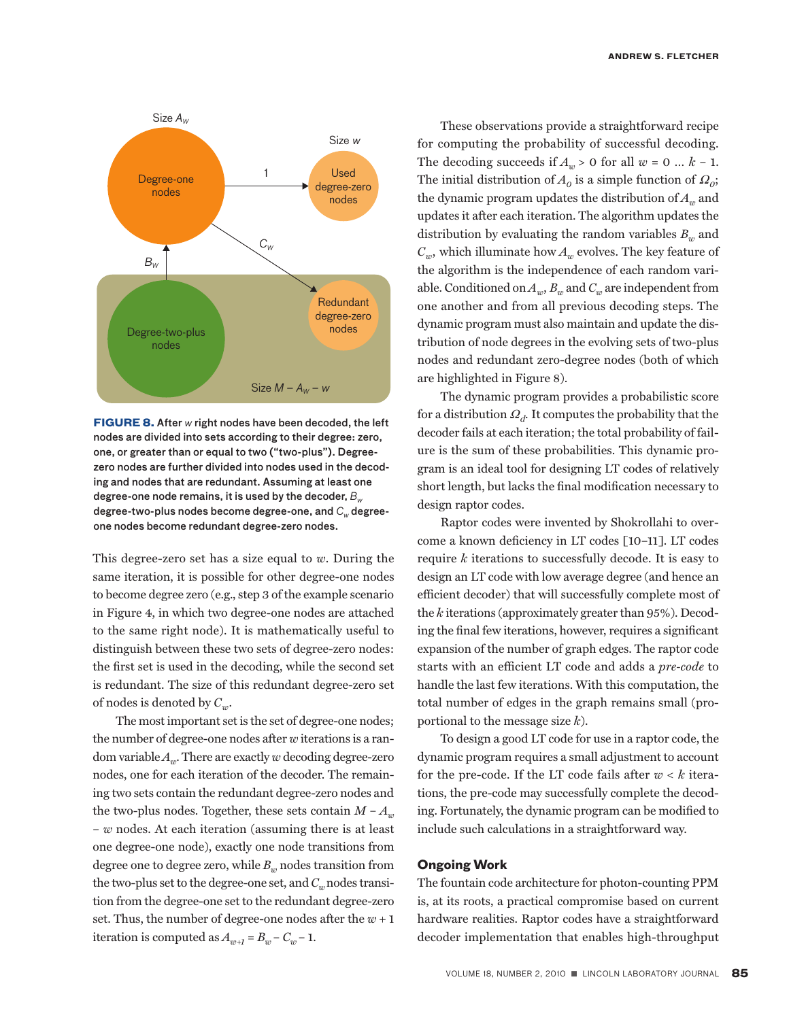

**FIGURE 8.** After *w* right nodes have been decoded, the left nodes are divided into sets according to their degree: zero, one, or greater than or equal to two ("two-plus"). Degreezero nodes are further divided into nodes used in the decoding and nodes that are redundant. Assuming at least one degree-one node remains, it is used by the decoder, *Bw* degree-two-plus nodes become degree-one, and  $C_w$  degreeone nodes become redundant degree-zero nodes.

This degree-zero set has a size equal to *w*. During the same iteration, it is possible for other degree-one nodes to become degree zero (e.g., step 3 of the example scenario in Figure 4, in which two degree-one nodes are attached to the same right node). It is mathematically useful to distinguish between these two sets of degree-zero nodes: the first set is used in the decoding, while the second set is redundant. The size of this redundant degree-zero set of nodes is denoted by  $C_{\nu}$ .

The most important set is the set of degree-one nodes; the number of degree-one nodes after *w* iterations is a random variable *Aw*. There are exactly *w* decoding degree-zero nodes, one for each iteration of the decoder. The remaining two sets contain the redundant degree-zero nodes and the two-plus nodes. Together, these sets contain  $M - A_w$ – *w* nodes. At each iteration (assuming there is at least one degree-one node), exactly one node transitions from degree one to degree zero, while  $B_{w}$  nodes transition from the two-plus set to the degree-one set, and  $C_w$  nodes transition from the degree-one set to the redundant degree-zero set. Thus, the number of degree-one nodes after the  $w + 1$ iteration is computed as  $A_{w+1} = B_w - C_w - 1$ .

These observations provide a straightforward recipe for computing the probability of successful decoding. The decoding succeeds if  $A_w > 0$  for all  $w = 0 ... k - 1$ . The initial distribution of  $A_0$  is a simple function of  $\Omega_0$ ; the dynamic program updates the distribution of  $A_w$  and updates it after each iteration. The algorithm updates the distribution by evaluating the random variables  $B_w$  and  $C_w$ , which illuminate how  $A_w$  evolves. The key feature of the algorithm is the independence of each random variable. Conditioned on  $A_w$ ,  $B_w$  and  $C_w$  are independent from one another and from all previous decoding steps. The dynamic program must also maintain and update the distribution of node degrees in the evolving sets of two-plus nodes and redundant zero-degree nodes (both of which are highlighted in Figure 8).

The dynamic program provides a probabilistic score for a distribution  $\Omega_d$ . It computes the probability that the decoder fails at each iteration; the total probability of failure is the sum of these probabilities. This dynamic program is an ideal tool for designing LT codes of relatively short length, but lacks the final modification necessary to design raptor codes.

Raptor codes were invented by Shokrollahi to overcome a known deficiency in LT codes [10–11]. LT codes require *k* iterations to successfully decode. It is easy to design an LT code with low average degree (and hence an efficient decoder) that will successfully complete most of the *k* iterations (approximately greater than 95%). Decoding the final few iterations, however, requires a significant expansion of the number of graph edges. The raptor code starts with an efficient LT code and adds a *pre-code* to handle the last few iterations. With this computation, the total number of edges in the graph remains small (proportional to the message size *k*).

To design a good LT code for use in a raptor code, the dynamic program requires a small adjustment to account for the pre-code. If the LT code fails after  $w < k$  iterations, the pre-code may successfully complete the decoding. Fortunately, the dynamic program can be modified to include such calculations in a straightforward way.

# **Ongoing Work**

The fountain code architecture for photon-counting PPM is, at its roots, a practical compromise based on current hardware realities. Raptor codes have a straightforward decoder implementation that enables high-throughput